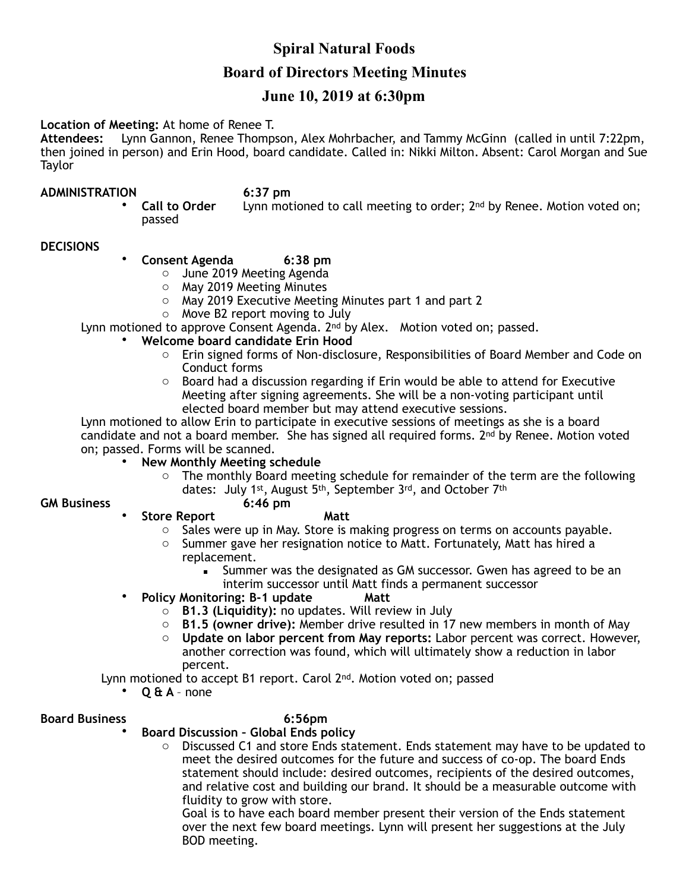# **Spiral Natural Foods Board of Directors Meeting Minutes**

# **June 10, 2019 at 6:30pm**

# **Location of Meeting:** At home of Renee T.

**Attendees:** Lynn Gannon, Renee Thompson, Alex Mohrbacher, and Tammy McGinn (called in until 7:22pm, then joined in person) and Erin Hood, board candidate. Called in: Nikki Milton. Absent: Carol Morgan and Sue **Taylor** 

**ADMINISTRATION** 6:37 pm<br>Call to Order Lynn mot Lynn motioned to call meeting to order; 2<sup>nd</sup> by Renee. Motion voted on; passed

# **DECISIONS**

- **Consent Agenda 6:38 pm** 
	- o June 2019 Meeting Agenda
	- o May 2019 Meeting Minutes
	- o May 2019 Executive Meeting Minutes part 1 and part 2
	- o Move B2 report moving to July

Lynn motioned to approve Consent Agenda. 2<sup>nd</sup> by Alex. Motion voted on; passed.

- **Welcome board candidate Erin Hood** 
	- o Erin signed forms of Non-disclosure, Responsibilities of Board Member and Code on Conduct forms
	- $\circ$  Board had a discussion regarding if Erin would be able to attend for Executive Meeting after signing agreements. She will be a non-voting participant until elected board member but may attend executive sessions.

Lynn motioned to allow Erin to participate in executive sessions of meetings as she is a board candidate and not a board member. She has signed all required forms.  $2^{nd}$  by Renee. Motion voted on; passed. Forms will be scanned.

# • **New Monthly Meeting schedule**

o The monthly Board meeting schedule for remainder of the term are the following dates: July 1<sup>st</sup>, August 5<sup>th</sup>, September 3<sup>rd</sup>, and October 7<sup>th</sup> 6:46 pm

# **GM Business**

# **Store Report Matt**

- $\circ$  Sales were up in May. Store is making progress on terms on accounts payable.
- $\circ$  Summer gave her resignation notice to Matt. Fortunately, Matt has hired a replacement.
	- **EXECT** Summer was the designated as GM successor. Gwen has agreed to be an interim successor until Matt finds a permanent successor
- **Policy Monitoring: B-1 update Matt** 
	- o **B1.3 (Liquidity):** no updates. Will review in July
	- o **B1.5 (owner drive):** Member drive resulted in 17 new members in month of May
	- o **Update on labor percent from May reports:** Labor percent was correct. However, another correction was found, which will ultimately show a reduction in labor percent.

Lynn motioned to accept B1 report. Carol 2<sup>nd</sup>. Motion voted on; passed

• **Q & A** – none

# **Board Business 6:56pm**

- **Board Discussion Global Ends policy** 
	- o Discussed C1 and store Ends statement. Ends statement may have to be updated to meet the desired outcomes for the future and success of co-op. The board Ends statement should include: desired outcomes, recipients of the desired outcomes, and relative cost and building our brand. It should be a measurable outcome with fluidity to grow with store.

Goal is to have each board member present their version of the Ends statement over the next few board meetings. Lynn will present her suggestions at the July BOD meeting.